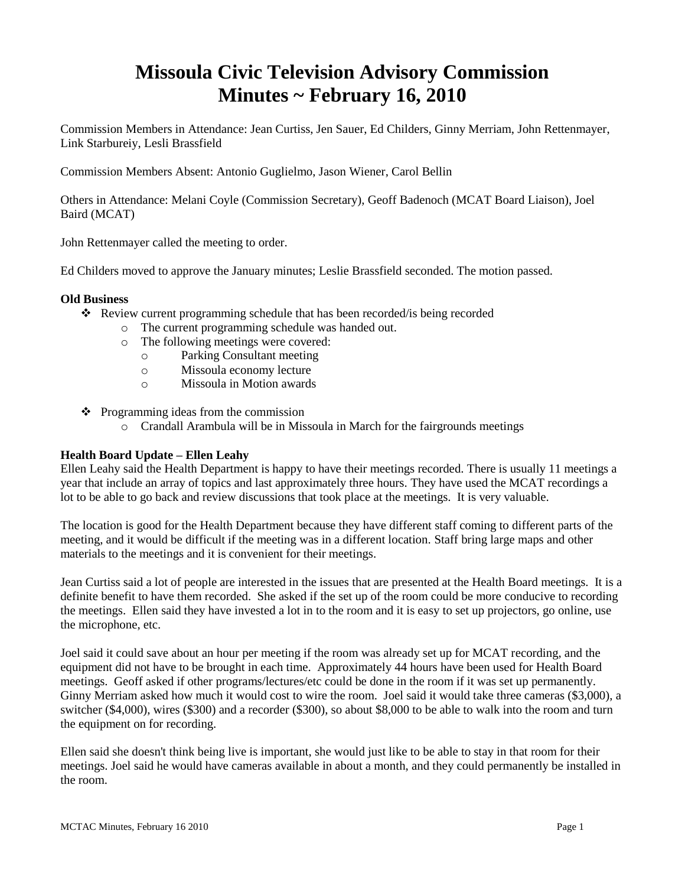# **Missoula Civic Television Advisory Commission Minutes ~ February 16, 2010**

Commission Members in Attendance: Jean Curtiss, Jen Sauer, Ed Childers, Ginny Merriam, John Rettenmayer, Link Starbureiy, Lesli Brassfield

Commission Members Absent: Antonio Guglielmo, Jason Wiener, Carol Bellin

Others in Attendance: Melani Coyle (Commission Secretary), Geoff Badenoch (MCAT Board Liaison), Joel Baird (MCAT)

John Rettenmayer called the meeting to order.

Ed Childers moved to approve the January minutes; Leslie Brassfield seconded. The motion passed.

### **Old Business**

- Review current programming schedule that has been recorded/is being recorded
	- o The current programming schedule was handed out.
	- o The following meetings were covered:
		- o Parking Consultant meeting
		- o Missoula economy lecture
		- o Missoula in Motion awards
- $\triangleleft$  Programming ideas from the commission
	- o Crandall Arambula will be in Missoula in March for the fairgrounds meetings

### **Health Board Update – Ellen Leahy**

Ellen Leahy said the Health Department is happy to have their meetings recorded. There is usually 11 meetings a year that include an array of topics and last approximately three hours. They have used the MCAT recordings a lot to be able to go back and review discussions that took place at the meetings. It is very valuable.

The location is good for the Health Department because they have different staff coming to different parts of the meeting, and it would be difficult if the meeting was in a different location. Staff bring large maps and other materials to the meetings and it is convenient for their meetings.

Jean Curtiss said a lot of people are interested in the issues that are presented at the Health Board meetings. It is a definite benefit to have them recorded. She asked if the set up of the room could be more conducive to recording the meetings. Ellen said they have invested a lot in to the room and it is easy to set up projectors, go online, use the microphone, etc.

Joel said it could save about an hour per meeting if the room was already set up for MCAT recording, and the equipment did not have to be brought in each time. Approximately 44 hours have been used for Health Board meetings. Geoff asked if other programs/lectures/etc could be done in the room if it was set up permanently. Ginny Merriam asked how much it would cost to wire the room. Joel said it would take three cameras (\$3,000), a switcher (\$4,000), wires (\$300) and a recorder (\$300), so about \$8,000 to be able to walk into the room and turn the equipment on for recording.

Ellen said she doesn't think being live is important, she would just like to be able to stay in that room for their meetings. Joel said he would have cameras available in about a month, and they could permanently be installed in the room.